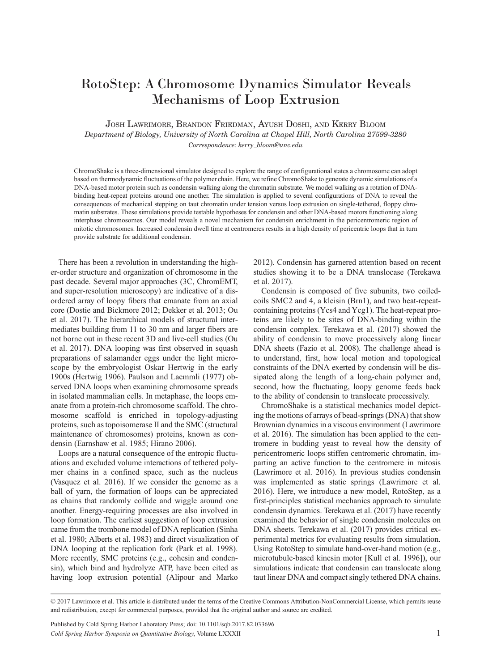# RotoStep: A Chromosome Dynamics Simulator Reveals Mechanisms of Loop Extrusion

JOSH LAWRIMORE, BRANDON FRIEDMAN, AYUSH DOSHI, AND KERRY BLOOM

Department of Biology, University of North Carolina at Chapel Hill, North Carolina 27599-3280 Correspondence: [kerry\\_bloom@unc.edu](mailto:kerry_bloom@unc.edu)

ChromoShake is a three-dimensional simulator designed to explore the range of configurational states a chromosome can adopt based on thermodynamic fluctuations of the polymer chain. Here, we refine ChromoShake to generate dynamic simulations of a DNA-based motor protein such as condensin walking along the chromatin substrate. We model walking as a rotation of DNAbinding heat-repeat proteins around one another. The simulation is applied to several configurations of DNA to reveal the consequences of mechanical stepping on taut chromatin under tension versus loop extrusion on single-tethered, floppy chromatin substrates. These simulations provide testable hypotheses for condensin and other DNA-based motors functioning along interphase chromosomes. Our model reveals a novel mechanism for condensin enrichment in the pericentromeric region of mitotic chromosomes. Increased condensin dwell time at centromeres results in a high density of pericentric loops that in turn provide substrate for additional condensin.

There has been a revolution in understanding the higher-order structure and organization of chromosome in the past decade. Several major approaches (3C, ChromEMT, and super-resolution microscopy) are indicative of a disordered array of loopy fibers that emanate from an axial core (Dostie and Bickmore 2012; Dekker et al. 2013; Ou et al. 2017). The hierarchical models of structural intermediates building from 11 to 30 nm and larger fibers are not borne out in these recent 3D and live-cell studies (Ou et al. 2017). DNA looping was first observed in squash preparations of salamander eggs under the light microscope by the embryologist Oskar Hertwig in the early 1900s (Hertwig 1906). Paulson and Laemmli (1977) observed DNA loops when examining chromosome spreads in isolated mammalian cells. In metaphase, the loops emanate from a protein-rich chromosome scaffold. The chromosome scaffold is enriched in topology-adjusting proteins, such as topoisomerase II and the SMC (structural maintenance of chromosomes) proteins, known as condensin (Earnshaw et al. 1985; Hirano 2006).

Loops are a natural consequence of the entropic fluctuations and excluded volume interactions of tethered polymer chains in a confined space, such as the nucleus (Vasquez et al. 2016). If we consider the genome as a ball of yarn, the formation of loops can be appreciated as chains that randomly collide and wiggle around one another. Energy-requiring processes are also involved in loop formation. The earliest suggestion of loop extrusion came from the trombone model of DNA replication (Sinha et al. 1980; Alberts et al. 1983) and direct visualization of DNA looping at the replication fork (Park et al. 1998). More recently, SMC proteins (e.g., cohesin and condensin), which bind and hydrolyze ATP, have been cited as having loop extrusion potential (Alipour and Marko 2012). Condensin has garnered attention based on recent studies showing it to be a DNA translocase (Terekawa et al. 2017).

Condensin is composed of five subunits, two coiledcoils SMC2 and 4, a kleisin (Brn1), and two heat-repeatcontaining proteins (Ycs4 and Ycg1). The heat-repeat proteins are likely to be sites of DNA-binding within the condensin complex. Terekawa et al. (2017) showed the ability of condensin to move processively along linear DNA sheets (Fazio et al. 2008). The challenge ahead is to understand, first, how local motion and topological constraints of the DNA exerted by condensin will be dissipated along the length of a long-chain polymer and, second, how the fluctuating, loopy genome feeds back to the ability of condensin to translocate processively.

ChromoShake is a statistical mechanics model depicting the motions of arrays of bead-springs (DNA) that show Brownian dynamics in a viscous environment (Lawrimore et al. 2016). The simulation has been applied to the centromere in budding yeast to reveal how the density of pericentromeric loops stiffen centromeric chromatin, imparting an active function to the centromere in mitosis (Lawrimore et al. 2016). In previous studies condensin was implemented as static springs (Lawrimore et al. 2016). Here, we introduce a new model, RotoStep, as a first-principles statistical mechanics approach to simulate condensin dynamics. Terekawa et al. (2017) have recently examined the behavior of single condensin molecules on DNA sheets. Terekawa et al. (2017) provides critical experimental metrics for evaluating results from simulation. Using RotoStep to simulate hand-over-hand motion (e.g., microtubule-based kinesin motor [Kull et al. 1996]), our simulations indicate that condensin can translocate along taut linear DNA and compact singly tethered DNA chains.

Published by Cold Spring Harbor Laboratory Press; doi: 10.1101/sqb.2017.82.033696 Cold Spring Harbor Symposia on Quantitative Biology, Volume LXXXII 1999 and Cold Spring Harbor Symposia on Quantitative Biology, Volume LXXXII

<sup>© 2017</sup> Lawrimore et al. This article is distributed under the terms of the [Creative Commons Attribution-NonCommercial License,](http://creativecommons.org/licenses/by-nc/4.0/) which permits reuse and redistribution, except for commercial purposes, provided that the original author and source are credited.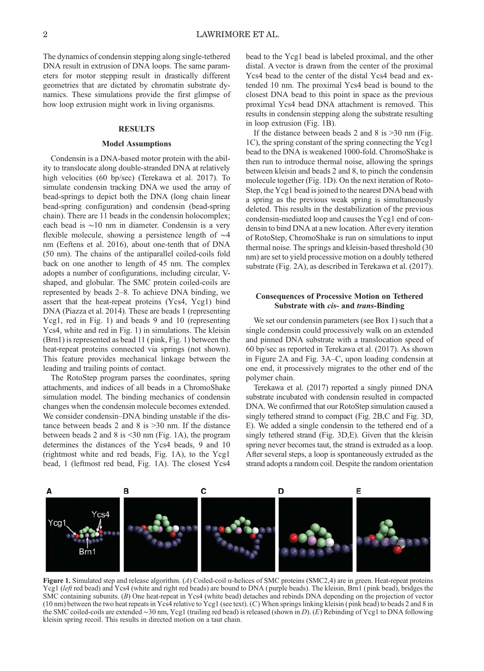The dynamics of condensin stepping along single-tethered DNA result in extrusion of DNA loops. The same parameters for motor stepping result in drastically different geometries that are dictated by chromatin substrate dynamics. These simulations provide the first glimpse of how loop extrusion might work in living organisms.

## RESULTS

### Model Assumptions

Condensin is a DNA-based motor protein with the ability to translocate along double-stranded DNA at relatively high velocities (60 bp/sec) (Terekawa et al. 2017). To simulate condensin tracking DNA we used the array of bead-springs to depict both the DNA (long chain linear bead-spring configuration) and condensin (bead-spring chain). There are 11 beads in the condensin holocomplex; each bead is ∼10 nm in diameter. Condensin is a very flexible molecule, showing a persistence length of ∼4 nm (Eeftens et al. 2016), about one-tenth that of DNA (50 nm). The chains of the antiparallel coiled-coils fold back on one another to length of 45 nm. The complex adopts a number of configurations, including circular, Vshaped, and globular. The SMC protein coiled-coils are represented by beads 2–8. To achieve DNA binding, we assert that the heat-repeat proteins (Ycs4, Ycg1) bind DNA (Piazza et al. 2014). These are beads 1 (representing Ycg1, red in Fig. 1) and beads 9 and 10 (representing Ycs4, white and red in Fig. 1) in simulations. The kleisin (Brn1) is represented as bead 11 ( pink, Fig. 1) between the heat-repeat proteins connected via springs (not shown). This feature provides mechanical linkage between the leading and trailing points of contact.

The RotoStep program parses the coordinates, spring attachments, and indices of all beads in a ChromoShake simulation model. The binding mechanics of condensin changes when the condensin molecule becomes extended. We consider condensin–DNA binding unstable if the distance between beads 2 and 8 is >30 nm. If the distance between beads 2 and 8 is <30 nm (Fig. 1A), the program determines the distances of the Ycs4 beads, 9 and 10 (rightmost white and red beads, Fig. 1A), to the Ycg1 bead, 1 (leftmost red bead, Fig. 1A). The closest Ycs4 bead to the Ycg1 bead is labeled proximal, and the other distal. A vector is drawn from the center of the proximal Ycs4 bead to the center of the distal Ycs4 bead and extended 10 nm. The proximal Ycs4 bead is bound to the closest DNA bead to this point in space as the previous proximal Ycs4 bead DNA attachment is removed. This results in condensin stepping along the substrate resulting in loop extrusion (Fig. 1B).

If the distance between beads 2 and 8 is >30 nm (Fig. 1C), the spring constant of the spring connecting the Ycg1 bead to the DNA is weakened 1000-fold. ChromoShake is then run to introduce thermal noise, allowing the springs between kleisin and beads 2 and 8, to pinch the condensin molecule together (Fig. 1D). On the next iteration of Roto-Step, the Ycg1 bead is joined to the nearest DNA bead with a spring as the previous weak spring is simultaneously deleted. This results in the destabilization of the previous condensin-mediated loop and causes the Ycg1 end of condensin to bind DNA at a new location. After every iteration of RotoStep, ChromoShake is run on simulations to input thermal noise. The springs and kleisin-based threshold (30 nm) are set to yield processive motion on a doubly tethered substrate (Fig. 2A), as described in Terekawa et al. (2017).

## Consequences of Processive Motion on Tethered Substrate with *cis*- and *trans*-Binding

We set our condensin parameters (see Box 1) such that a single condensin could processively walk on an extended and pinned DNA substrate with a translocation speed of 60 bp/sec as reported in Terekawa et al. (2017). As shown in Figure 2A and Fig. 3A–C, upon loading condensin at one end, it processively migrates to the other end of the polymer chain.

Terekawa et al. (2017) reported a singly pinned DNA substrate incubated with condensin resulted in compacted DNA. We confirmed that our RotoStep simulation caused a singly tethered strand to compact (Fig. 2B,C and Fig. 3D, E). We added a single condensin to the tethered end of a singly tethered strand (Fig. 3D,E). Given that the kleisin spring never becomes taut, the strand is extruded as a loop. After several steps, a loop is spontaneously extruded as the strand adopts a random coil. Despite the random orientation



Figure 1. Simulated step and release algorithm. (A) Coiled-coil α-helices of SMC proteins (SMC2,4) are in green. Heat-repeat proteins Ycg1 (left red bead) and Ycs4 (white and right red beads) are bound to DNA (purple beads). The kleisin, Brn1 (pink bead), bridges the SMC containing subunits. (B) One heat-repeat in Ycs4 (white bead) detaches and rebinds DNA depending on the projection of vector (10 nm) between the two heat repeats in Ycs4 relative to Ycg1 (see text). (C) When springs linking kleisin ( pink bead) to beads 2 and 8 in the SMC coiled-coils are extended ∼30 nm, Ycg1 (trailing red bead) is released (shown in D). (E) Rebinding of Ycg1 to DNA following kleisin spring recoil. This results in directed motion on a taut chain.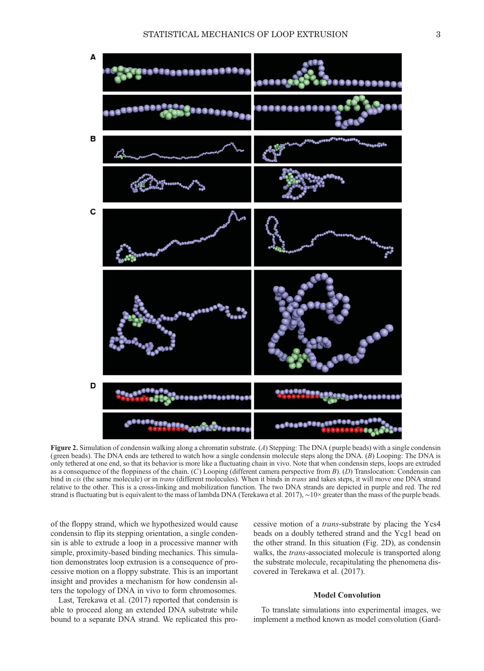

Figure 2. Simulation of condensin walking along a chromatin substrate. (A) Stepping: The DNA (purple beads) with a single condensin (green beads). The DNA ends are tethered to watch how a single condensin molecule steps along the DNA. (B) Looping: The DNA is only tethered at one end, so that its behavior is more like a fluctuating chain in vivo. Note that when condensin steps, loops are extruded as a consequence of the floppiness of the chain. (C) Looping (different camera perspective from B). (D) Translocation: Condensin can bind in cis (the same molecule) or in trans (different molecules). When it binds in trans and takes steps, it will move one DNA strand relative to the other. This is a cross-linking and mobilization function. The two DNA strands are depicted in purple and red. The red strand is fluctuating but is equivalent to the mass of lambda DNA (Terekawa et al. 2017), ~10× greater than the mass of the purple beads.

of the floppy strand, which we hypothesized would cause condensin to flip its stepping orientation, a single condensin is able to extrude a loop in a processive manner with simple, proximity-based binding mechanics. This simulation demonstrates loop extrusion is a consequence of processive motion on a floppy substrate. This is an important insight and provides a mechanism for how condensin alters the topology of DNA in vivo to form chromosomes.

Last, Terekawa et al. (2017) reported that condensin is able to proceed along an extended DNA substrate while bound to a separate DNA strand. We replicated this processive motion of a trans-substrate by placing the Ycs4 beads on a doubly tethered strand and the Ycg1 bead on the other strand. In this situation (Fig. 2D), as condensin walks, the *trans*-associated molecule is transported along the substrate molecule, recapitulating the phenomena discovered in Terekawa et al. (2017).

### Model Convolution

To translate simulations into experimental images, we implement a method known as model convolution (Gard-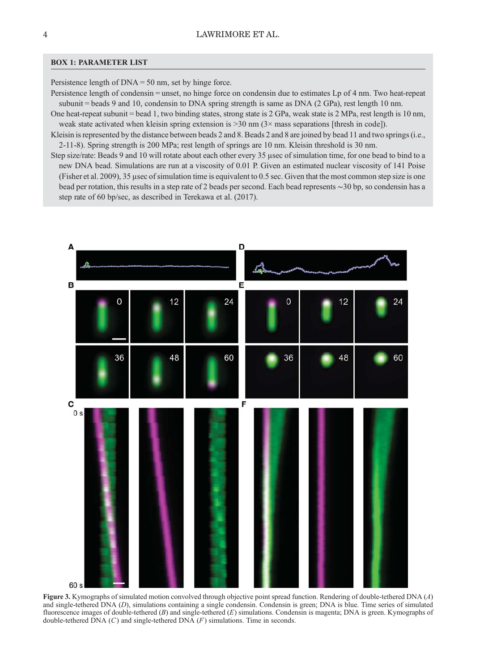#### BOX 1: PARAMETER LIST

Persistence length of  $DNA = 50$  nm, set by hinge force.

Persistence length of condensin = unset, no hinge force on condensin due to estimates Lp of 4 nm. Two heat-repeat subunit = beads 9 and 10, condensin to DNA spring strength is same as DNA (2 GPa), rest length 10 nm.

One heat-repeat subunit = bead 1, two binding states, strong state is 2 GPa, weak state is 2 MPa, rest length is 10 nm, weak state activated when kleisin spring extension is  $>30$  nm (3× mass separations [thresh in code]).

Kleisin is represented by the distance between beads 2 and 8. Beads 2 and 8 are joined by bead 11 and two springs (i.e., 2-11-8). Spring strength is 200 MPa; rest length of springs are 10 nm. Kleisin threshold is 30 nm.

Step size/rate: Beads 9 and 10 will rotate about each other every 35 usec of simulation time, for one bead to bind to a new DNA bead. Simulations are run at a viscosity of 0.01 P. Given an estimated nuclear viscosity of 141 Poise (Fisher et al. 2009), 35 µsec of simulation time is equivalent to 0.5 sec. Given that the most common step size is one bead per rotation, this results in a step rate of 2 beads per second. Each bead represents ∼30 bp, so condensin has a step rate of 60 bp/sec, as described in Terekawa et al. (2017).



Figure 3. Kymographs of simulated motion convolved through objective point spread function. Rendering of double-tethered DNA  $(A)$ and single-tethered DNA (D), simulations containing a single condensin. Condensin is green; DNA is blue. Time series of simulated fluorescence images of double-tethered  $(B)$  and single-tethered  $(E)$  simulations. Condensin is magenta; DNA is green. Kymographs of double-tethered DNA  $(C)$  and single-tethered DNA  $(F)$  simulations. Time in seconds.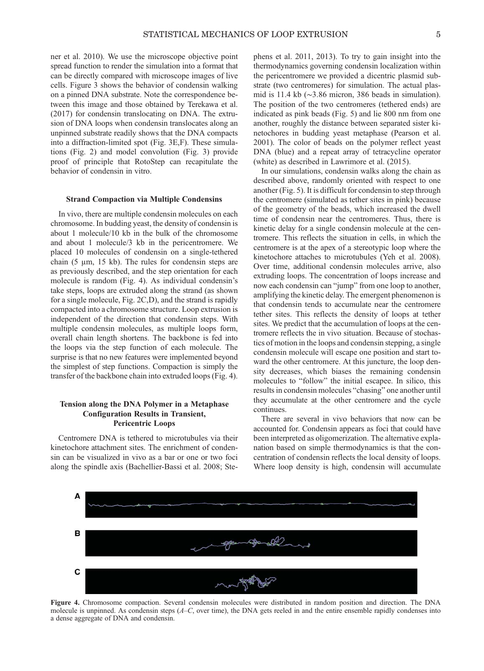ner et al. 2010). We use the microscope objective point spread function to render the simulation into a format that can be directly compared with microscope images of live cells. Figure 3 shows the behavior of condensin walking on a pinned DNA substrate. Note the correspondence between this image and those obtained by Terekawa et al. (2017) for condensin translocating on DNA. The extrusion of DNA loops when condensin translocates along an unpinned substrate readily shows that the DNA compacts into a diffraction-limited spot (Fig. 3E,F). These simulations (Fig. 2) and model convolution (Fig. 3) provide proof of principle that RotoStep can recapitulate the behavior of condensin in vitro.

#### Strand Compaction via Multiple Condensins

In vivo, there are multiple condensin molecules on each chromosome. In budding yeast, the density of condensin is about 1 molecule/10 kb in the bulk of the chromosome and about 1 molecule/3 kb in the pericentromere. We placed 10 molecules of condensin on a single-tethered chain  $(5 \mu m, 15 \text{ kb})$ . The rules for condensin steps are as previously described, and the step orientation for each molecule is random (Fig. 4). As individual condensin's take steps, loops are extruded along the strand (as shown for a single molecule, Fig. 2C,D), and the strand is rapidly compacted into a chromosome structure. Loop extrusion is independent of the direction that condensin steps. With multiple condensin molecules, as multiple loops form, overall chain length shortens. The backbone is fed into the loops via the step function of each molecule. The surprise is that no new features were implemented beyond the simplest of step functions. Compaction is simply the transfer of the backbone chain into extruded loops (Fig. 4).

## Tension along the DNA Polymer in a Metaphase Configuration Results in Transient, Pericentric Loops

Centromere DNA is tethered to microtubules via their kinetochore attachment sites. The enrichment of condensin can be visualized in vivo as a bar or one or two foci along the spindle axis (Bachellier-Bassi et al. 2008; Stephens et al. 2011, 2013). To try to gain insight into the thermodynamics governing condensin localization within the pericentromere we provided a dicentric plasmid substrate (two centromeres) for simulation. The actual plasmid is 11.4 kb (∼3.86 micron, 386 beads in simulation). The position of the two centromeres (tethered ends) are indicated as pink beads (Fig. 5) and lie 800 nm from one another, roughly the distance between separated sister kinetochores in budding yeast metaphase (Pearson et al. 2001). The color of beads on the polymer reflect yeast DNA (blue) and a repeat array of tetracycline operator (white) as described in Lawrimore et al. (2015).

In our simulations, condensin walks along the chain as described above, randomly oriented with respect to one another (Fig. 5). It is difficult for condensin to step through the centromere (simulated as tether sites in pink) because of the geometry of the beads, which increased the dwell time of condensin near the centromeres. Thus, there is kinetic delay for a single condensin molecule at the centromere. This reflects the situation in cells, in which the centromere is at the apex of a stereotypic loop where the kinetochore attaches to microtubules (Yeh et al. 2008). Over time, additional condensin molecules arrive, also extruding loops. The concentration of loops increase and now each condensin can "jump" from one loop to another, amplifying the kinetic delay. The emergent phenomenon is that condensin tends to accumulate near the centromere tether sites. This reflects the density of loops at tether sites. We predict that the accumulation of loops at the centromere reflects the in vivo situation. Because of stochastics of motion in the loops and condensin stepping, a single condensin molecule will escape one position and start toward the other centromere. At this juncture, the loop density decreases, which biases the remaining condensin molecules to "follow" the initial escapee. In silico, this results in condensin molecules "chasing" one another until they accumulate at the other centromere and the cycle continues.

There are several in vivo behaviors that now can be accounted for. Condensin appears as foci that could have been interpreted as oligomerization. The alternative explanation based on simple thermodynamics is that the concentration of condensin reflects the local density of loops. Where loop density is high, condensin will accumulate



Figure 4. Chromosome compaction. Several condensin molecules were distributed in random position and direction. The DNA molecule is unpinned. As condensin steps (A–C, over time), the DNA gets reeled in and the entire ensemble rapidly condenses into a dense aggregate of DNA and condensin.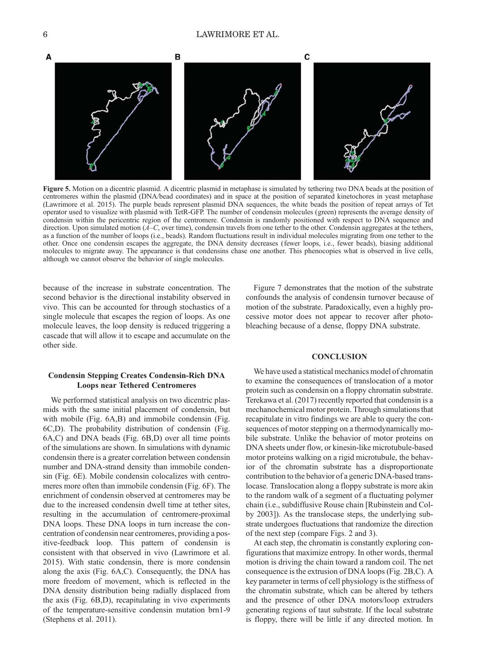

Figure 5. Motion on a dicentric plasmid. A dicentric plasmid in metaphase is simulated by tethering two DNA beads at the position of centromeres within the plasmid (DNA/bead coordinates) and in space at the position of separated kinetochores in yeast metaphase (Lawrimore et al. 2015). The purple beads represent plasmid DNA sequences, the white beads the position of repeat arrays of Tet operator used to visualize with plasmid with TetR-GFP. The number of condensin molecules (green) represents the average density of condensin within the pericentric region of the centromere. Condensin is randomly positioned with respect to DNA sequence and direction. Upon simulated motion (A–C, over time), condensin travels from one tether to the other. Condensin aggregates at the tethers, as a function of the number of loops (i.e., beads). Random fluctuations result in individual molecules migrating from one tether to the other. Once one condensin escapes the aggregate, the DNA density decreases (fewer loops, i.e., fewer beads), biasing additional molecules to migrate away. The appearance is that condensins chase one another. This phenocopies what is observed in live cells, although we cannot observe the behavior of single molecules.

because of the increase in substrate concentration. The second behavior is the directional instability observed in vivo. This can be accounted for through stochastics of a single molecule that escapes the region of loops. As one molecule leaves, the loop density is reduced triggering a cascade that will allow it to escape and accumulate on the other side.

Figure 7 demonstrates that the motion of the substrate confounds the analysis of condensin turnover because of motion of the substrate. Paradoxically, even a highly processive motor does not appear to recover after photobleaching because of a dense, floppy DNA substrate.

## **CONCLUSION**

## Condensin Stepping Creates Condensin-Rich DNA Loops near Tethered Centromeres

We performed statistical analysis on two dicentric plasmids with the same initial placement of condensin, but with mobile (Fig. 6A,B) and immobile condensin (Fig. 6C,D). The probability distribution of condensin (Fig. 6A,C) and DNA beads (Fig. 6B,D) over all time points of the simulations are shown. In simulations with dynamic condensin there is a greater correlation between condensin number and DNA-strand density than immobile condensin (Fig. 6E). Mobile condensin colocalizes with centromeres more often than immobile condensin (Fig. 6F). The enrichment of condensin observed at centromeres may be due to the increased condensin dwell time at tether sites, resulting in the accumulation of centromere-proximal DNA loops. These DNA loops in turn increase the concentration of condensin near centromeres, providing a positive-feedback loop. This pattern of condensin is consistent with that observed in vivo (Lawrimore et al. 2015). With static condensin, there is more condensin along the axis (Fig. 6A,C). Consequently, the DNA has more freedom of movement, which is reflected in the DNA density distribution being radially displaced from the axis (Fig. 6B,D), recapitulating in vivo experiments of the temperature-sensitive condensin mutation brn1-9 (Stephens et al. 2011).

We have used a statistical mechanics model of chromatin to examine the consequences of translocation of a motor protein such as condensin on a floppy chromatin substrate. Terekawa et al. (2017) recently reported that condensin is a mechanochemical motor protein. Through simulations that recapitulate in vitro findings we are able to query the consequences of motor stepping on a thermodynamically mobile substrate. Unlike the behavior of motor proteins on DNA sheets under flow, or kinesin-like microtubule-based motor proteins walking on a rigid microtubule, the behavior of the chromatin substrate has a disproportionate contribution to the behavior of a generic DNA-based translocase. Translocation along a floppy substrate is more akin to the random walk of a segment of a fluctuating polymer chain (i.e., subdiffusive Rouse chain [Rubinstein and Colby 2003]). As the translocase steps, the underlying substrate undergoes fluctuations that randomize the direction of the next step (compare Figs. 2 and 3).

At each step, the chromatin is constantly exploring configurations that maximize entropy. In other words, thermal motion is driving the chain toward a random coil. The net consequence is the extrusion of DNA loops (Fig. 2B,C). A key parameter in terms of cell physiology is the stiffness of the chromatin substrate, which can be altered by tethers and the presence of other DNA motors/loop extruders generating regions of taut substrate. If the local substrate is floppy, there will be little if any directed motion. In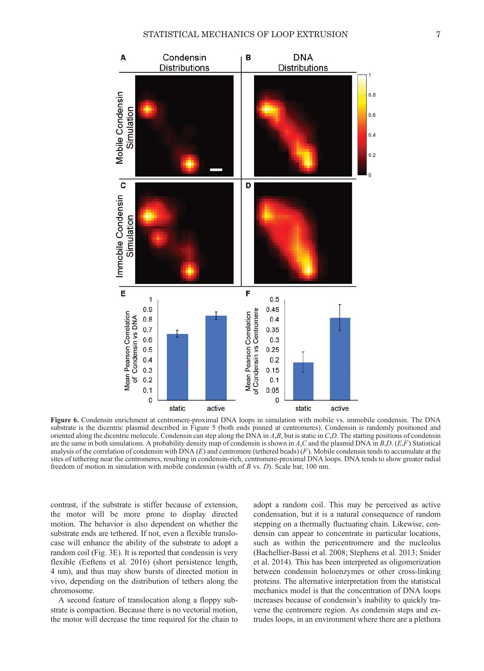

Figure 6. Condensin enrichment at centromere-proximal DNA loops in simulation with mobile vs. immobile condensin. The DNA substrate is the dicentric plasmid described in Figure 5 (both ends pinned at centromeres). Condensin is randomly positioned and oriented along the dicentric molecule. Condensin can step along the DNA in  $A,B$ , but is static in  $C,D$ . The starting positions of condensin are the same in both simulations. A probability density map of condensin is shown in  $A, C$  and the plasmid DNA in  $B, D$ . ( $E, F$ ) Statistical analysis of the correlation of condensin with DNA  $(E)$  and centromere (tethered beads)  $(F)$ . Mobile condensin tends to accumulate at the sites of tethering near the centromeres, resulting in condensin-rich, centromere-proximal DNA loops. DNA tends to show greater radial freedom of motion in simulation with mobile condensin (width of B vs. D). Scale bar, 100 nm.

contrast, if the substrate is stiffer because of extension, the motor will be more prone to display directed motion. The behavior is also dependent on whether the substrate ends are tethered. If not, even a flexible translocase will enhance the ability of the substrate to adopt a random coil (Fig. 3E). It is reported that condensin is very flexible (Eeftens et al. 2016) (short persistence length, 4 nm), and thus may show bursts of directed motion in vivo, depending on the distribution of tethers along the chromosome.

A second feature of translocation along a floppy substrate is compaction. Because there is no vectorial motion, the motor will decrease the time required for the chain to adopt a random coil. This may be perceived as active condensation, but it is a natural consequence of random stepping on a thermally fluctuating chain. Likewise, condensin can appear to concentrate in particular locations, such as within the pericentromere and the nucleolus (Bachellier-Bassi et al. 2008; Stephens et al. 2013; Snider et al. 2014). This has been interpreted as oligomerization between condensin holoenzymes or other cross-linking proteins. The alternative interpretation from the statistical mechanics model is that the concentration of DNA loops increases because of condensin's inability to quickly traverse the centromere region. As condensin steps and extrudes loops, in an environment where there are a plethora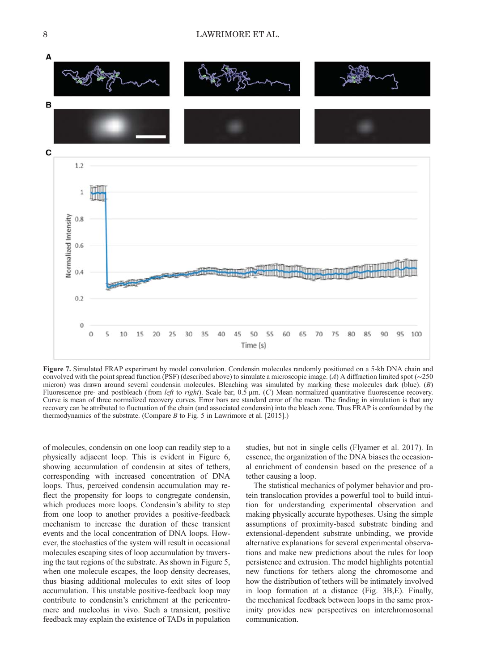

Figure 7. Simulated FRAP experiment by model convolution. Condensin molecules randomly positioned on a 5-kb DNA chain and convolved with the point spread function (PSF) (described above) to simulate a microscopic image. (A) A diffraction limited spot (∼250 micron) was drawn around several condensin molecules. Bleaching was simulated by marking these molecules dark (blue). (B) Fluorescence pre- and postbleach (from *left* to right). Scale bar,  $0.5 \mu$ m. (C) Mean normalized quantitative fluorescence recovery. Curve is mean of three normalized recovery curves. Error bars are standard error of the mean. The finding in simulation is that any recovery can be attributed to fluctuation of the chain (and associated condensin) into the bleach zone. Thus FRAP is confounded by the thermodynamics of the substrate. (Compare B to Fig. 5 in Lawrimore et al. [2015].)

of molecules, condensin on one loop can readily step to a physically adjacent loop. This is evident in Figure 6, showing accumulation of condensin at sites of tethers, corresponding with increased concentration of DNA loops. Thus, perceived condensin accumulation may reflect the propensity for loops to congregate condensin, which produces more loops. Condensin's ability to step from one loop to another provides a positive-feedback mechanism to increase the duration of these transient events and the local concentration of DNA loops. However, the stochastics of the system will result in occasional molecules escaping sites of loop accumulation by traversing the taut regions of the substrate. As shown in Figure 5, when one molecule escapes, the loop density decreases, thus biasing additional molecules to exit sites of loop accumulation. This unstable positive-feedback loop may contribute to condensin's enrichment at the pericentromere and nucleolus in vivo. Such a transient, positive feedback may explain the existence of TADs in population

studies, but not in single cells (Flyamer et al. 2017). In essence, the organization of the DNA biases the occasional enrichment of condensin based on the presence of a tether causing a loop.

The statistical mechanics of polymer behavior and protein translocation provides a powerful tool to build intuition for understanding experimental observation and making physically accurate hypotheses. Using the simple assumptions of proximity-based substrate binding and extensional-dependent substrate unbinding, we provide alternative explanations for several experimental observations and make new predictions about the rules for loop persistence and extrusion. The model highlights potential new functions for tethers along the chromosome and how the distribution of tethers will be intimately involved in loop formation at a distance (Fig. 3B,E). Finally, the mechanical feedback between loops in the same proximity provides new perspectives on interchromosomal communication.